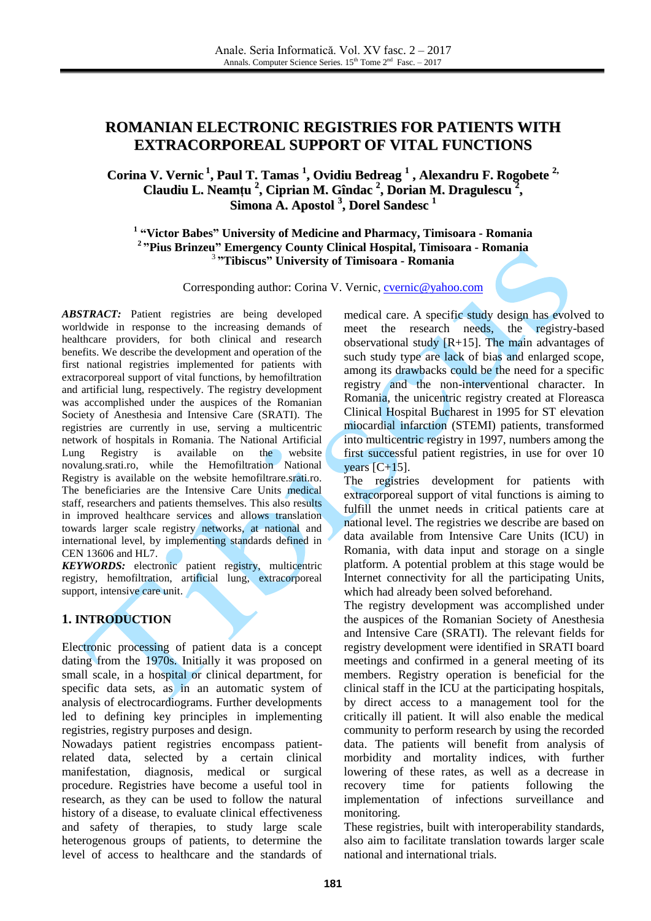# **ROMANIAN ELECTRONIC REGISTRIES FOR PATIENTS WITH EXTRACORPOREAL SUPPORT OF VITAL FUNCTIONS**

**Corina V. Vernic 1 , Paul T. Tamas 1 , Ovidiu Bedreag 1 , Alexandru F. Rogobete 2, Claudiu L. Neamțu 2 , Ciprian M. Gîndac 2 , Dorian M. Dragulescu 2 , Simona A. Apostol 3 , Dorel Sandesc 1**

**1 "Victor Babes" University of Medicine and Pharmacy, Timisoara - Romania <sup>2</sup>"Pius Brinzeu" Emergency County Clinical Hospital, Timisoara - Romania** <sup>3</sup>**"Tibiscus" University of Timisoara - Romania**

Corresponding author: Corina V. Vernic, [cvernic@yahoo.com](mailto:cvernic@yahoo.com)

*ABSTRACT:* Patient registries are being developed worldwide in response to the increasing demands of healthcare providers, for both clinical and research benefits. We describe the development and operation of the first national registries implemented for patients with extracorporeal support of vital functions, by hemofiltration and artificial lung, respectively. The registry development was accomplished under the auspices of the Romanian Society of Anesthesia and Intensive Care (SRATI). The registries are currently in use, serving a multicentric network of hospitals in Romania. The National Artificial Lung Registry is available on the website novalung.srati.ro, while the Hemofiltration National Registry is available on the website hemofiltrare.srati.ro. The beneficiaries are the Intensive Care Units medical staff, researchers and patients themselves. This also results in improved healthcare services and allows translation towards larger scale registry networks, at national and international level, by implementing standards defined in CEN 13606 and HL7.

*KEYWORDS:* electronic patient registry, multicentric registry, hemofiltration, artificial lung, extracorporeal support, intensive care unit.

#### **1. INTRODUCTION**

Electronic processing of patient data is a concept dating from the 1970s. Initially it was proposed on small scale, in a hospital or clinical department, for specific data sets, as in an automatic system of analysis of electrocardiograms. Further developments led to defining key principles in implementing registries, registry purposes and design.

Nowadays patient registries encompass patientrelated data, selected by a certain clinical manifestation, diagnosis, medical or surgical procedure. Registries have become a useful tool in research, as they can be used to follow the natural history of a disease, to evaluate clinical effectiveness and safety of therapies, to study large scale heterogenous groups of patients, to determine the level of access to healthcare and the standards of medical care. A specific study design has evolved to meet the research needs, the registry-based observational study  $[R+15]$ . The main advantages of such study type are lack of bias and enlarged scope, among its drawbacks could be the need for a specific registry and the non-interventional character. In Romania, the unicentric registry created at Floreasca Clinical Hospital Bucharest in 1995 for ST elevation miocardial infarction (STEMI) patients, transformed into multicentric registry in 1997, numbers among the first successful patient registries, in use for over 10 years  $[C+15]$ .

The registries development for patients with extracorporeal support of vital functions is aiming to fulfill the unmet needs in critical patients care at national level. The registries we describe are based on data available from Intensive Care Units (ICU) in Romania, with data input and storage on a single platform. A potential problem at this stage would be Internet connectivity for all the participating Units, which had already been solved beforehand.

The registry development was accomplished under the auspices of the Romanian Society of Anesthesia and Intensive Care (SRATI). The relevant fields for registry development were identified in SRATI board meetings and confirmed in a general meeting of its members. Registry operation is beneficial for the clinical staff in the ICU at the participating hospitals, by direct access to a management tool for the critically ill patient. It will also enable the medical community to perform research by using the recorded data. The patients will benefit from analysis of morbidity and mortality indices, with further lowering of these rates, as well as a decrease in recovery time for patients following the implementation of infections surveillance and monitoring.

These registries, built with interoperability standards, also aim to facilitate translation towards larger scale national and international trials.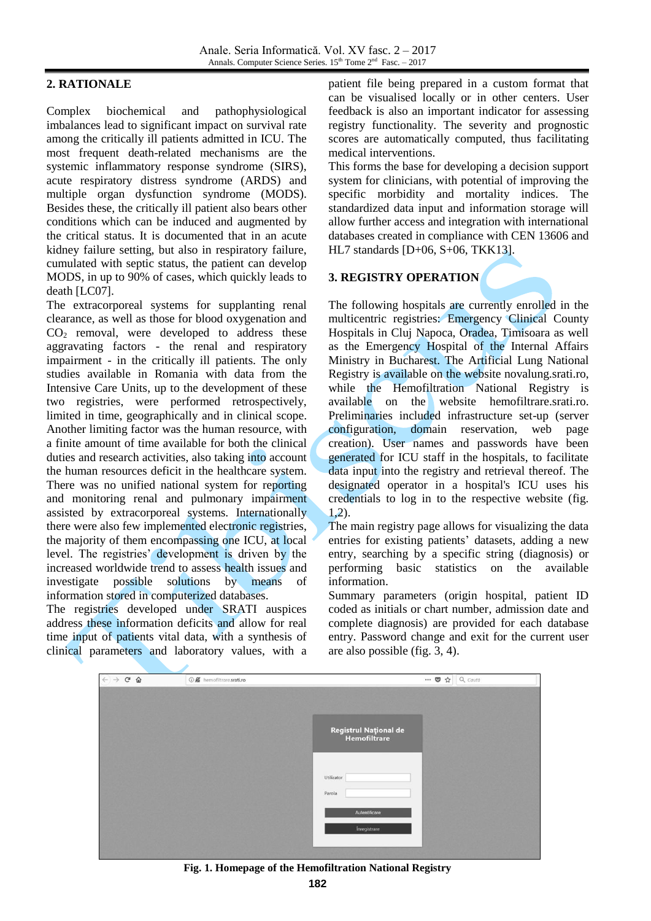#### **2. RATIONALE**

Complex biochemical and pathophysiological imbalances lead to significant impact on survival rate among the critically ill patients admitted in ICU. The most frequent death-related mechanisms are the systemic inflammatory response syndrome (SIRS), acute respiratory distress syndrome (ARDS) and multiple organ dysfunction syndrome (MODS). Besides these, the critically ill patient also bears other conditions which can be induced and augmented by the critical status. It is documented that in an acute kidney failure setting, but also in respiratory failure, cumulated with septic status, the patient can develop MODS, in up to 90% of cases, which quickly leads to death [LC07].

The extracorporeal systems for supplanting renal clearance, as well as those for blood oxygenation and  $CO<sub>2</sub>$  removal, were developed to address these aggravating factors - the renal and respiratory impairment - in the critically ill patients. The only studies available in Romania with data from the Intensive Care Units, up to the development of these two registries, were performed retrospectively, limited in time, geographically and in clinical scope. Another limiting factor was the human resource, with a finite amount of time available for both the clinical duties and research activities, also taking into account the human resources deficit in the healthcare system. There was no unified national system for reporting and monitoring renal and pulmonary impairment assisted by extracorporeal systems. Internationally there were also few implemented electronic registries, the majority of them encompassing one ICU, at local level. The registries' development is driven by the increased worldwide trend to assess health issues and investigate possible solutions by means of information stored in computerized databases.

The registries developed under SRATI auspices address these information deficits and allow for real time input of patients vital data, with a synthesis of clinical parameters and laboratory values, with a

patient file being prepared in a custom format that can be visualised locally or in other centers. User feedback is also an important indicator for assessing registry functionality. The severity and prognostic scores are automatically computed, thus facilitating medical interventions.

This forms the base for developing a decision support system for clinicians, with potential of improving the specific morbidity and mortality indices. The standardized data input and information storage will allow further access and integration with international databases created in compliance with CEN 13606 and HL7 standards [D+06, S+06, TKK13].

#### **3. REGISTRY OPERATION**

The following hospitals are currently enrolled in the multicentric registries: Emergency Clinical County Hospitals in Cluj Napoca, Oradea, Timisoara as well as the Emergency Hospital of the Internal Affairs Ministry in Bucharest. The Artificial Lung National Registry is available on the website novalung.srati.ro, while the Hemofiltration National Registry is available on the website hemofiltrare.srati.ro. Preliminaries included infrastructure set-up (server configuration, domain reservation, web page creation). User names and passwords have been generated for ICU staff in the hospitals, to facilitate data input into the registry and retrieval thereof. The designated operator in a hospital's ICU uses his credentials to log in to the respective website (fig. 1,2).

The main registry page allows for visualizing the data entries for existing patients' datasets, adding a new entry, searching by a specific string (diagnosis) or performing basic statistics on the available information.

Summary parameters (origin hospital, patient ID coded as initials or chart number, admission date and complete diagnosis) are provided for each database entry. Password change and exit for the current user are also possible (fig. 3, 4).

| $\leftarrow$ $\rightarrow$ $C$ $\Omega$ | <b>10 g</b> hemofiltrare.srati.ro | $\cdots$ $\odot$ $\bigcirc$ $\bigcirc$ $\bigcirc$ cautà |  |
|-----------------------------------------|-----------------------------------|---------------------------------------------------------|--|
|                                         |                                   |                                                         |  |
|                                         |                                   | Registrul Național de<br>Hemofiltrare                   |  |
|                                         |                                   | Utilizator<br>Parola                                    |  |
|                                         |                                   | Autentificare<br>Înregistrare                           |  |
|                                         |                                   |                                                         |  |

**Fig. 1. Homepage of the Hemofiltration National Registry**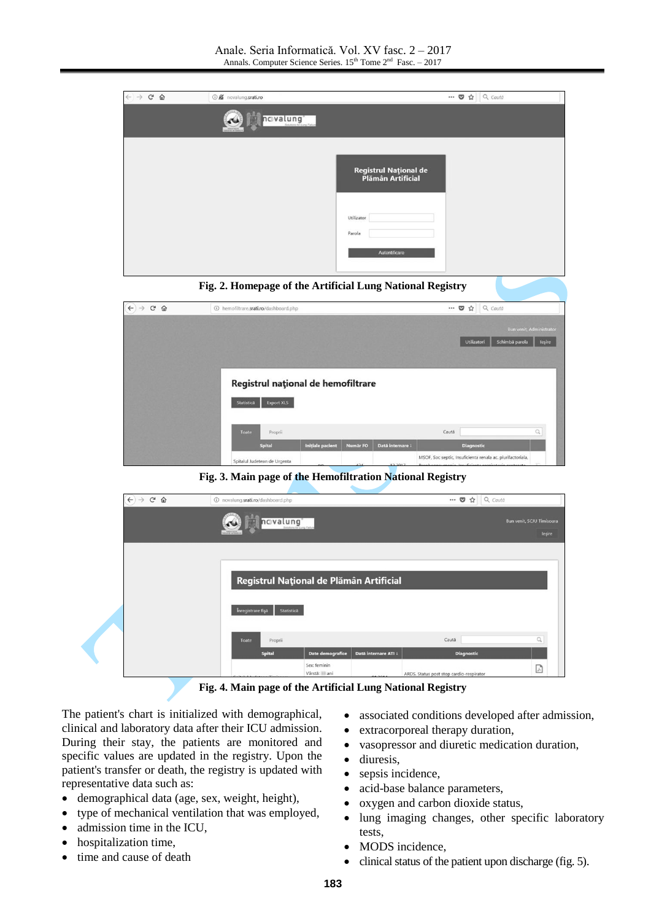

**Fig. 2. Homepage of the Artificial Lung National Registry**

| $\leftarrow$ $\rightarrow$ $\alpha$ $\omega$ | 1 hemofiltrare.srati.ro/dashboard.php |                         |                 |                  | $\blacksquare$                                             | Q Caută<br>☆                  |                                           |
|----------------------------------------------|---------------------------------------|-------------------------|-----------------|------------------|------------------------------------------------------------|-------------------------------|-------------------------------------------|
|                                              |                                       |                         |                 |                  |                                                            | Schimbă parola<br>Utilizatori | <b>Bun venit, Administrator</b><br>leşire |
|                                              |                                       |                         |                 |                  |                                                            |                               |                                           |
|                                              | Registrul național de hemofiltrare    |                         |                 |                  |                                                            |                               |                                           |
|                                              | <b>Export XLS</b><br>Statistică       |                         |                 |                  |                                                            |                               |                                           |
|                                              | Toate<br>Proprii                      |                         |                 |                  | Caută                                                      |                               | $\mathbb{Q}$                              |
|                                              | <b>Spital</b>                         | <b>Initiale pacient</b> | <b>Numär FO</b> | Dată internare ! |                                                            | <b>Diagnostic</b>             |                                           |
|                                              | Spitalul Judetean de Urgenta          |                         |                 |                  | MSOF, Soc septic, Insuficienta renala ac. plurifactoriala, |                               |                                           |

**Fig. 3. Main page of the Hemofiltration National Registry**



**Fig. 4. Main page of the Artificial Lung National Registry**

The patient's chart is initialized with demographical, clinical and laboratory data after their ICU admission. During their stay, the patients are monitored and specific values are updated in the registry. Upon the patient's transfer or death, the registry is updated with representative data such as:

- demographical data (age, sex, weight, height),
- type of mechanical ventilation that was employed,
- admission time in the ICU,
- hospitalization time,
- time and cause of death
- associated conditions developed after admission,
- extracorporeal therapy duration,
- vasopressor and diuretic medication duration,
- diuresis,
- sepsis incidence,
- acid-base balance parameters,
- oxygen and carbon dioxide status,
- lung imaging changes, other specific laboratory tests,
- MODS incidence,
- $\bullet$  clinical status of the patient upon discharge (fig. 5).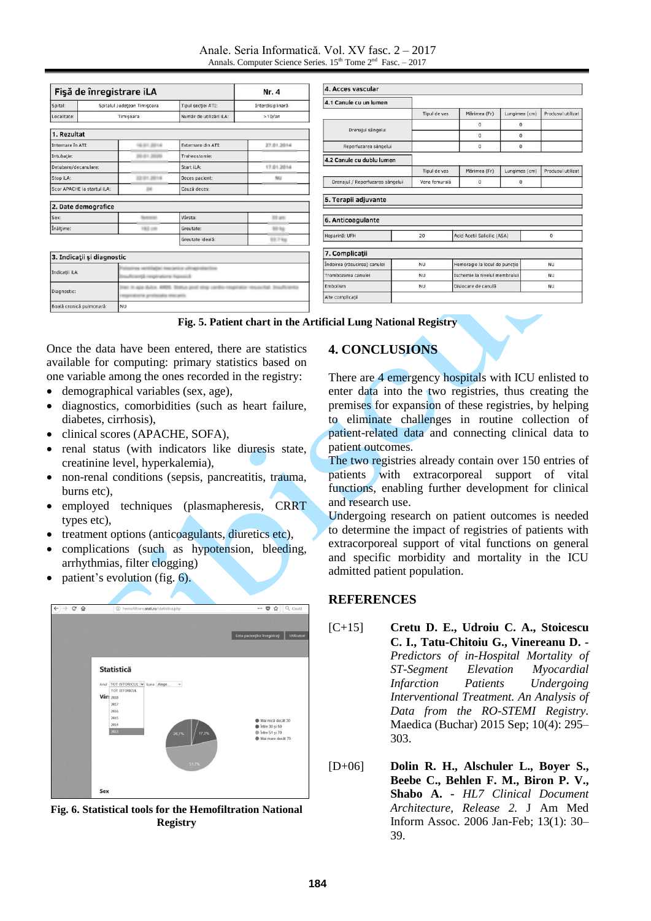#### Anale. Seria Informatică. Vol. XV fasc. 2 – 2017 Annals. Computer Science Series.  $15<sup>th</sup>$  Tome  $2<sup>nd</sup>$  Fasc.  $-2017$

| Fişă de înregistrare iLA    | Nr. 4                      |                                                         |                         |                  |  |  |
|-----------------------------|----------------------------|---------------------------------------------------------|-------------------------|------------------|--|--|
| Spital:                     |                            | Spitalul Județean Timișoara                             | Tipul secției ATI:      | Interdisiplinară |  |  |
| Localitate:                 | Timisoara                  |                                                         | Număr de utilizări iLA: | >10/an           |  |  |
| 1. Rezultat                 |                            |                                                         |                         |                  |  |  |
| Internare în ATI:           |                            | 16.01.2014                                              | Externare din ATI:      | 27.01.2014       |  |  |
| Intubatie:                  |                            | 30.01.3                                                 | Traheostomie:           |                  |  |  |
| Detubare/decanulare:        |                            |                                                         | Start iLA:              | 17.01.2014       |  |  |
| Stop iLA:                   |                            | 22.01.30                                                | Deces pacient:          | NU               |  |  |
| Scor APACHE la startul iLA: |                            | m                                                       | Cauză deces:            |                  |  |  |
| 2. Date demografice         |                            |                                                         |                         |                  |  |  |
| Sex:                        |                            |                                                         | Vårsta:                 | 33 am            |  |  |
| Înălțime:<br>62 cm          |                            |                                                         | Greutate:               | 50 kg            |  |  |
|                             |                            |                                                         | Greutate ideală:        | <b>SS 7 kg</b>   |  |  |
|                             | 3. Indicații și diagnostic |                                                         |                         |                  |  |  |
| Indicații iLA:              |                            | ance offragratective<br>63 respiratorio hiposto3        |                         |                  |  |  |
| Diagnostic:                 |                            | <b>Edit Draufficiantia</b><br>as penalt situate careful |                         |                  |  |  |

| 4.1 Canule cu un lumen                              |               |                               |               |                   |  |
|-----------------------------------------------------|---------------|-------------------------------|---------------|-------------------|--|
|                                                     | Tipul de vas  | Märimea (Fr)                  | Lungimea (cm) | Produsul utilizat |  |
|                                                     |               | $\mathbf 0$                   | $\mathbf 0$   |                   |  |
| Drenajul sângelui                                   |               | $\overline{0}$                | $\Omega$      |                   |  |
| Reperfuzarea sângelui                               |               | 0                             | $\mathbf 0$   |                   |  |
| 4.2 Canule cu dublu lumen                           |               |                               |               |                   |  |
|                                                     | Tipul de vas  | Märimea (Fr)                  | Lungimea (cm) | Produsul utilizat |  |
| Drenajul / Reperfuzarea sângelui                    | Vena femurală | $\mathbf 0$                   | $\circ$       |                   |  |
| 6. Anticoagulante                                   |               |                               |               |                   |  |
| Heparină: UFH<br>20                                 |               | Acid Acetil Salicilic (ASA)   |               | $\mathbf 0$       |  |
| 7. Complicații                                      |               |                               |               |                   |  |
|                                                     |               | Hemoragie la locul de puncție |               | <b>NU</b>         |  |
|                                                     | <b>NU</b>     |                               |               | NU                |  |
| Indoirea (răsucirea) canulei<br>Trombozarea canulei | <b>NU</b>     | Ischemie la nivelul membrului |               |                   |  |
| Embolism                                            | <b>NU</b>     | Dislocare de canulã           |               | NU                |  |

| Fig. 5. Patient chart in the Artificial Lung National Registry |  |  |  |  |  |  |  |
|----------------------------------------------------------------|--|--|--|--|--|--|--|
|----------------------------------------------------------------|--|--|--|--|--|--|--|

Once the data have been entered, there are statistics available for computing: primary statistics based on one variable among the ones recorded in the registry:

demographical variables (sex, age),

Boală cronică pulmo

- diagnostics, comorbidities (such as heart failure, diabetes, cirrhosis),
- clinical scores (APACHE, SOFA),
- renal status (with indicators like diuresis state, creatinine level, hyperkalemia),
- non-renal conditions (sepsis, pancreatitis, trauma, burns etc),
- employed techniques (plasmapheresis, CRRT types etc),
- treatment options (anticoagulants, diuretics etc),
- complications (such as hypotension, bleeding, arrhythmias, filter clogging)
- patient's evolution (fig. 6).



**Fig. 6. Statistical tools for the Hemofiltration National Registry**

## **4. CONCLUSIONS**

There are 4 emergency hospitals with ICU enlisted to enter data into the two registries, thus creating the premises for expansion of these registries, by helping to eliminate challenges in routine collection of patient-related data and connecting clinical data to patient outcomes.

The two registries already contain over 150 entries of patients with extracorporeal support of vital functions, enabling further development for clinical and research use.

Undergoing research on patient outcomes is needed to determine the impact of registries of patients with extracorporeal support of vital functions on general and specific morbidity and mortality in the ICU admitted patient population.

### **REFERENCES**

- [C+15] **Cretu D. E., Udroiu C. A., Stoicescu C. I., Tatu-Chitoiu G., Vinereanu D. -** *Predictors of in-Hospital Mortality of ST-Segment Elevation Myocardial Infarction Patients Undergoing Interventional Treatment. An Analysis of Data from the RO-STEMI Registry.* Maedica (Buchar) 2015 Sep; 10(4): 295– 303.
- [D+06] **Dolin R. H., Alschuler L., Boyer S., Beebe C., Behlen F. M., Biron P. V., Shabo A. -** *HL7 Clinical Document Architecture, Release 2.* J Am Med Inform Assoc. 2006 Jan-Feb; 13(1): 30– 39.